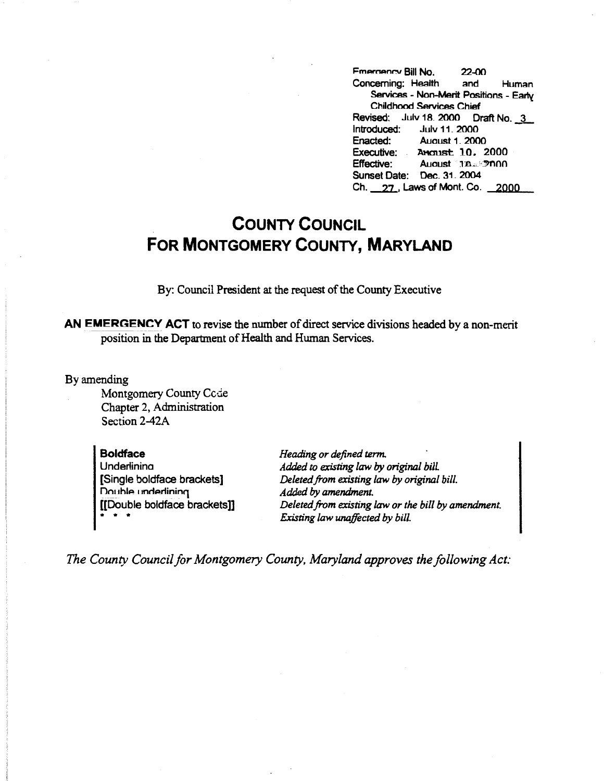**Fmergency Bill No. 22-00** Concerning: Health and Human **Services - Non-Merit Positions - Early Childhood Services Chief** Revised: July 18. 2000 Draft No. 3<br>Introduced: July 11. 2000 July 11, 2000 Enacted: August 1\_2000 Executive: Amonist 10, 2000 Effective: August 11.<sup>3</sup> Sunset Date: Dec\_ 31\_ 2004  $Ch. 27.$ , Laws of Mont. Co.  $2000$ 

## **COUNTY COUNCIL FOR MONTGOMERY COUNTY, MARYLAND**

By: Council President at the request of the County Executive

AN EMERGENCY ACT to revise the number of direct service divisions headed by a non-merit position in the Department of Health and Human Services.

By amending

Montgomery County Ccde Chapter 2, Administration Section 2-42A

**Boldface Underlinina** [Single boldface brackets] Double underlining [[Double boldface brackets]] • • \*

*Heading or defined term. Added to existing law by original bill. Deleted from existing law by original bill. Added by amendment.*  Deleted from existing law or the bill by amendment. *Existing law unaffected by bill.* 

*The County Council for Montgomery County, Maryland approves the following Act:*